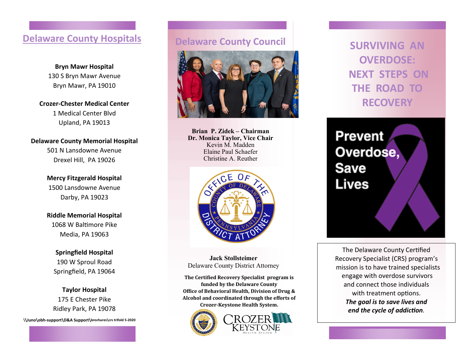#### **Delaware County Hospitals**

**Bryn Mawr Hospital** 130 S Bryn Mawr Avenue Bryn Mawr, PA 19010

**Crozer-Chester Medical Center** 1 Medical Center Blvd Upland, PA 19013

**Delaware County Memorial Hospital** 501 N Lansdowne Avenue Drexel Hill, PA 19026

> **Mercy Fitzgerald Hospital** 1500 Lansdowne Avenue Darby, PA 19023

> **Riddle Memorial Hospital** 1068 W Baltimore Pike Media, PA 19063

**Springfield Hospital** 190 W Sproul Road Springfield, PA 19064

**Taylor Hospital** 175 E Chester Pike Ridley Park, PA 19078

**\\Juno\obh-support\D&A Support\brochures\crs trifold 5-2020**

#### **Delaware County Council**



**Brian P. Zidek – Chairman Dr. Monica Taylor, Vice Chair** Kevin M. Madden Elaine Paul Schaefer Christine A. Reuther



**Jack Stollsteimer** Delaware County District Attorney

**The Certified Recovery Specialist program is funded by the Delaware County Office of Behavioral Health, Division of Drug & Alcohol and coordinated through the efforts of Crozer-Keystone Health System.**



**SURVIVING AN OVERDOSE: NEXT STEPS ON THE ROAD TO RECOVERY**

**Prevent** Overdose, **Save Lives** 

The Delaware County Certified Recovery Specialist (CRS) program's mission is to have trained specialists engage with overdose survivors and connect those individuals with treatment options. *The goal is to save lives and end the cycle of addiction.*